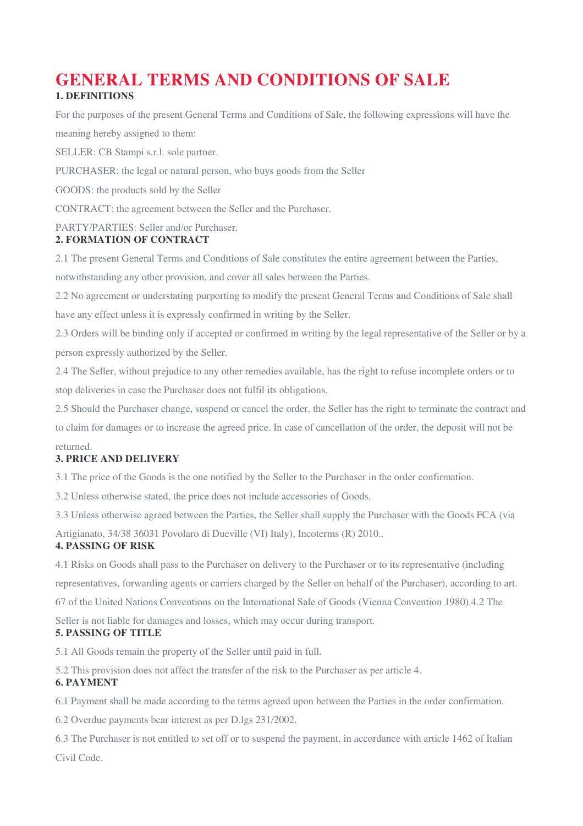## **GENERAL TERMS AND CONDITIONS OF SALE 1. DEFINITIONS**

For the purposes of the present General Terms and Conditions of Sale, the following expressions will have the meaning hereby assigned to them:

SELLER: CB Stampi s.r.l. sole partner.

PURCHASER: the legal or natural person, who buys goods from the Seller

GOODS: the products sold by the Seller

CONTRACT: the agreement between the Seller and the Purchaser.

# PARTY/PARTIES: Seller and/or Purchaser.

## **2. FORMATION OF CONTRACT**

2.1 The present General Terms and Conditions of Sale constitutes the entire agreement between the Parties,

notwithstanding any other provision, and cover all sales between the Parties.

2.2 No agreement or understating purporting to modify the present General Terms and Conditions of Sale shall have any effect unless it is expressly confirmed in writing by the Seller.

2.3 Orders will be binding only if accepted or confirmed in writing by the legal representative of the Seller or by a person expressly authorized by the Seller.

2.4 The Seller, without prejudice to any other remedies available, has the right to refuse incomplete orders or to stop deliveries in case the Purchaser does not fulfil its obligations.

2.5 Should the Purchaser change, suspend or cancel the order, the Seller has the right to terminate the contract and to claim for damages or to increase the agreed price. In case of cancellation of the order, the deposit will not be returned.

## **3. PRICE AND DELIVERY**

3.1 The price of the Goods is the one notified by the Seller to the Purchaser in the order confirmation.

3.2 Unless otherwise stated, the price does not include accessories of Goods.

3.3 Unless otherwise agreed between the Parties, the Seller shall supply the Purchaser with the Goods FCA (via

Artigianato, 34/38 36031 Povolaro di Dueville (VI) Italy), Incoterms (R) 2010..

## **4. PASSING OF RISK**

4.1 Risks on Goods shall pass to the Purchaser on delivery to the Purchaser or to its representative (including representatives, forwarding agents or carriers charged by the Seller on behalf of the Purchaser), according to art. 67 of the United Nations Conventions on the International Sale of Goods (Vienna Convention 1980).4.2 The

Seller is not liable for damages and losses, which may occur during transport.

## **5. PASSING OF TITLE**

5.1 All Goods remain the property of the Seller until paid in full.

5.2 This provision does not affect the transfer of the risk to the Purchaser as per article 4.

## **6. PAYMENT**

6.1 Payment shall be made according to the terms agreed upon between the Parties in the order confirmation.

6.2 Overdue payments bear interest as per D.lgs 231/2002.

6.3 The Purchaser is not entitled to set off or to suspend the payment, in accordance with article 1462 of Italian Civil Code.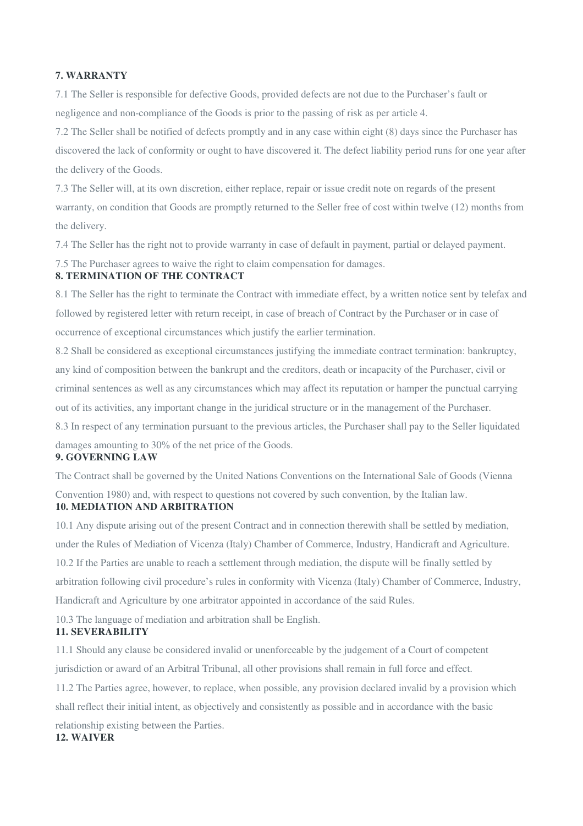#### **7. WARRANTY**

7.1 The Seller is responsible for defective Goods, provided defects are not due to the Purchaser's fault or negligence and non-compliance of the Goods is prior to the passing of risk as per article 4.

7.2 The Seller shall be notified of defects promptly and in any case within eight (8) days since the Purchaser has discovered the lack of conformity or ought to have discovered it. The defect liability period runs for one year after the delivery of the Goods.

7.3 The Seller will, at its own discretion, either replace, repair or issue credit note on regards of the present warranty, on condition that Goods are promptly returned to the Seller free of cost within twelve (12) months from the delivery.

7.4 The Seller has the right not to provide warranty in case of default in payment, partial or delayed payment.

7.5 The Purchaser agrees to waive the right to claim compensation for damages.

## **8. TERMINATION OF THE CONTRACT**

8.1 The Seller has the right to terminate the Contract with immediate effect, by a written notice sent by telefax and followed by registered letter with return receipt, in case of breach of Contract by the Purchaser or in case of occurrence of exceptional circumstances which justify the earlier termination.

8.2 Shall be considered as exceptional circumstances justifying the immediate contract termination: bankruptcy, any kind of composition between the bankrupt and the creditors, death or incapacity of the Purchaser, civil or criminal sentences as well as any circumstances which may affect its reputation or hamper the punctual carrying out of its activities, any important change in the juridical structure or in the management of the Purchaser. 8.3 In respect of any termination pursuant to the previous articles, the Purchaser shall pay to the Seller liquidated damages amounting to 30% of the net price of the Goods.

#### **9. GOVERNING LAW**

The Contract shall be governed by the United Nations Conventions on the International Sale of Goods (Vienna

Convention 1980) and, with respect to questions not covered by such convention, by the Italian law. **10. MEDIATION AND ARBITRATION** 

10.1 Any dispute arising out of the present Contract and in connection therewith shall be settled by mediation, under the Rules of Mediation of Vicenza (Italy) Chamber of Commerce, Industry, Handicraft and Agriculture. 10.2 If the Parties are unable to reach a settlement through mediation, the dispute will be finally settled by arbitration following civil procedure's rules in conformity with Vicenza (Italy) Chamber of Commerce, Industry, Handicraft and Agriculture by one arbitrator appointed in accordance of the said Rules.

10.3 The language of mediation and arbitration shall be English.

## **11. SEVERABILITY**

11.1 Should any clause be considered invalid or unenforceable by the judgement of a Court of competent jurisdiction or award of an Arbitral Tribunal, all other provisions shall remain in full force and effect.

11.2 The Parties agree, however, to replace, when possible, any provision declared invalid by a provision which shall reflect their initial intent, as objectively and consistently as possible and in accordance with the basic

relationship existing between the Parties.

## **12. WAIVER**